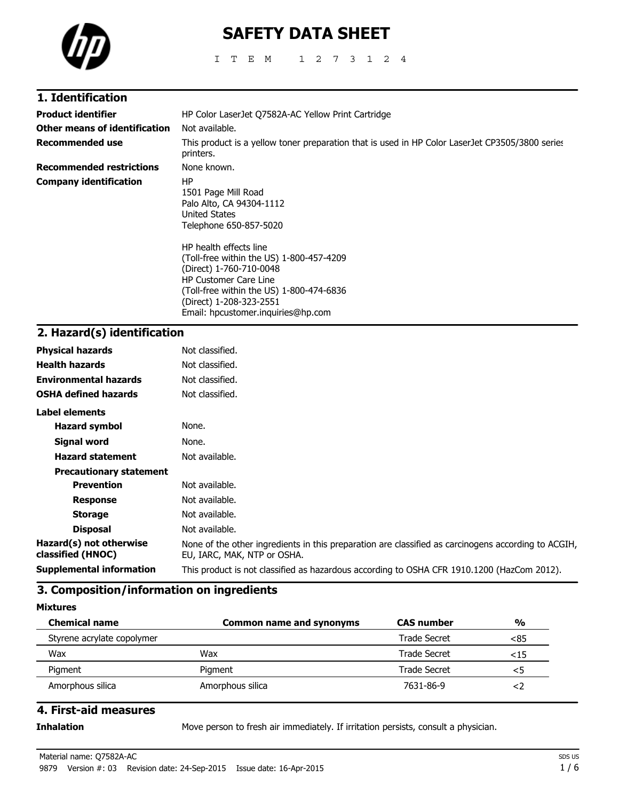

# **SAFETY DATA SHEET**

ITEM 1273124

| 1. Identification               |                                                                                                                                                                                                                                            |  |
|---------------------------------|--------------------------------------------------------------------------------------------------------------------------------------------------------------------------------------------------------------------------------------------|--|
| <b>Product identifier</b>       | HP Color LaserJet Q7582A-AC Yellow Print Cartridge                                                                                                                                                                                         |  |
| Other means of identification   | Not available.                                                                                                                                                                                                                             |  |
| Recommended use                 | This product is a yellow toner preparation that is used in HP Color LaserJet CP3505/3800 series<br>printers.                                                                                                                               |  |
| <b>Recommended restrictions</b> | None known.                                                                                                                                                                                                                                |  |
| Company identification          | HP.<br>1501 Page Mill Road<br>Palo Alto, CA 94304-1112<br>United States<br>Telephone 650-857-5020                                                                                                                                          |  |
|                                 | HP health effects line<br>(Toll-free within the US) 1-800-457-4209<br>(Direct) 1-760-710-0048<br><b>HP Customer Care Line</b><br>(Toll-free within the US) 1-800-474-6836<br>(Direct) 1-208-323-2551<br>Email: hpcustomer.inquiries@hp.com |  |

# **2. Hazard(s) identification**

| <b>Physical hazards</b>                      | Not classified.                                                                                                                    |
|----------------------------------------------|------------------------------------------------------------------------------------------------------------------------------------|
| <b>Health hazards</b>                        | Not classified.                                                                                                                    |
| <b>Environmental hazards</b>                 | Not classified.                                                                                                                    |
| <b>OSHA defined hazards</b>                  | Not classified.                                                                                                                    |
| Label elements                               |                                                                                                                                    |
| <b>Hazard symbol</b>                         | None.                                                                                                                              |
| Signal word                                  | None.                                                                                                                              |
| <b>Hazard statement</b>                      | Not available.                                                                                                                     |
| <b>Precautionary statement</b>               |                                                                                                                                    |
| <b>Prevention</b>                            | Not available.                                                                                                                     |
| <b>Response</b>                              | Not available.                                                                                                                     |
| <b>Storage</b>                               | Not available.                                                                                                                     |
| <b>Disposal</b>                              | Not available.                                                                                                                     |
| Hazard(s) not otherwise<br>classified (HNOC) | None of the other ingredients in this preparation are classified as carcinogens according to ACGIH,<br>EU, IARC, MAK, NTP or OSHA. |
| <b>Supplemental information</b>              | This product is not classified as hazardous according to OSHA CFR 1910.1200 (HazCom 2012).                                         |
|                                              |                                                                                                                                    |

# **3. Composition/information on ingredients**

**Mixtures**

| <b>Chemical name</b>       | <b>Common name and synonyms</b> | <b>CAS</b> number   | $\frac{0}{0}$ |
|----------------------------|---------------------------------|---------------------|---------------|
| Styrene acrylate copolymer |                                 | <b>Trade Secret</b> | <85           |
| Wax                        | Wax                             | <b>Trade Secret</b> | ${<}15$       |
| Pigment                    | Pigment                         | <b>Trade Secret</b> | <5            |
| Amorphous silica           | Amorphous silica                | 7631-86-9           |               |

## **4. First-aid measures**

**Inhalation** Move person to fresh air immediately. If irritation persists, consult a physician.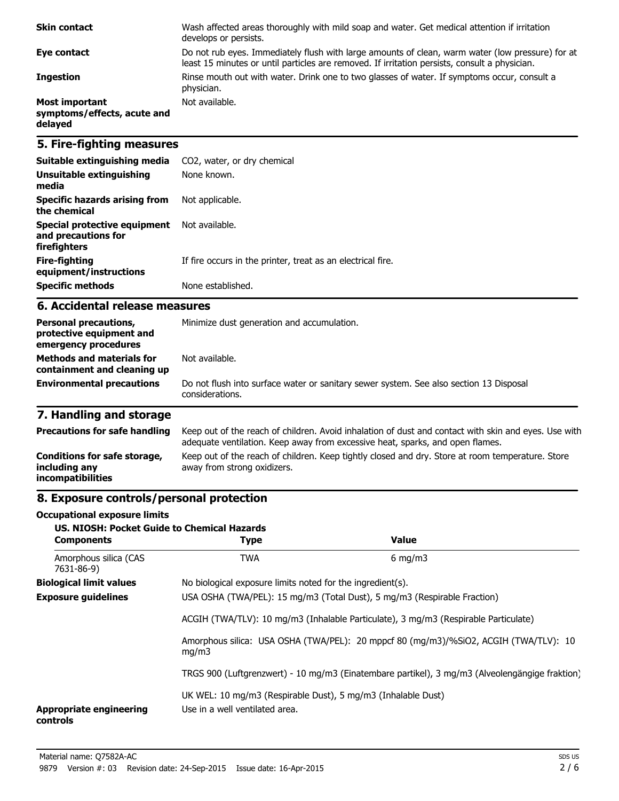| <b>Skin contact</b>                                             | Wash affected areas thoroughly with mild soap and water. Get medical attention if irritation<br>develops or persists.                                                                             |
|-----------------------------------------------------------------|---------------------------------------------------------------------------------------------------------------------------------------------------------------------------------------------------|
| Eye contact                                                     | Do not rub eyes. Immediately flush with large amounts of clean, warm water (low pressure) for at<br>least 15 minutes or until particles are removed. If irritation persists, consult a physician. |
| <b>Ingestion</b>                                                | Rinse mouth out with water. Drink one to two glasses of water. If symptoms occur, consult a<br>physician.                                                                                         |
| <b>Most important</b><br>symptoms/effects, acute and<br>delayed | Not available.                                                                                                                                                                                    |

# **5. Fire-fighting measures**

| Suitable extinguishing media                                        | CO2, water, or dry chemical                                 |
|---------------------------------------------------------------------|-------------------------------------------------------------|
| Unsuitable extinguishing<br>media                                   | None known.                                                 |
| Specific hazards arising from<br>the chemical                       | Not applicable.                                             |
| Special protective equipment<br>and precautions for<br>firefighters | Not available.                                              |
| Fire-fighting<br>equipment/instructions                             | If fire occurs in the printer, treat as an electrical fire. |
| <b>Specific methods</b>                                             | None established.                                           |

### **6. Accidental release measures**

| <b>Personal precautions,</b><br>protective equipment and<br>emergency procedures<br><b>Methods and materials for</b> | Minimize dust generation and accumulation.<br>Not available.                                              |  |
|----------------------------------------------------------------------------------------------------------------------|-----------------------------------------------------------------------------------------------------------|--|
| containment and cleaning up                                                                                          |                                                                                                           |  |
| <b>Environmental precautions</b>                                                                                     | Do not flush into surface water or sanitary sewer system. See also section 13 Disposal<br>considerations. |  |

# **7. Handling and storage**

| <b>Precautions for safe handling</b>                                      | Keep out of the reach of children. Avoid inhalation of dust and contact with skin and eyes. Use with<br>adequate ventilation. Keep away from excessive heat, sparks, and open flames. |
|---------------------------------------------------------------------------|---------------------------------------------------------------------------------------------------------------------------------------------------------------------------------------|
| Conditions for safe storage,<br>including any<br><i>incompatibilities</i> | Keep out of the reach of children. Keep tightly closed and dry. Store at room temperature. Store<br>away from strong oxidizers.                                                       |

# **8. Exposure controls/personal protection**

#### **Occupational exposure limits**

| <b>US. NIOSH: Pocket Guide to Chemical Hazards</b><br><b>Components</b> | <b>Type</b>                                                                                                                                                     | Value                                                                                          |  |
|-------------------------------------------------------------------------|-----------------------------------------------------------------------------------------------------------------------------------------------------------------|------------------------------------------------------------------------------------------------|--|
| Amorphous silica (CAS<br>7631-86-9)                                     | <b>TWA</b>                                                                                                                                                      | $6 \text{ mg/m}$                                                                               |  |
| <b>Biological limit values</b>                                          |                                                                                                                                                                 | No biological exposure limits noted for the ingredient(s).                                     |  |
| <b>Exposure guidelines</b>                                              | USA OSHA (TWA/PEL): 15 mg/m3 (Total Dust), 5 mg/m3 (Respirable Fraction)<br>ACGIH (TWA/TLV): 10 mg/m3 (Inhalable Particulate), 3 mg/m3 (Respirable Particulate) |                                                                                                |  |
|                                                                         |                                                                                                                                                                 |                                                                                                |  |
| mq/m3                                                                   | Amorphous silica: USA OSHA (TWA/PEL): 20 mppcf 80 (mg/m3)/%SiO2, ACGIH (TWA/TLV): 10                                                                            |                                                                                                |  |
|                                                                         |                                                                                                                                                                 | TRGS 900 (Luftgrenzwert) - 10 mg/m3 (Einatembare partikel), 3 mg/m3 (Alveolengängige fraktion) |  |
| <b>Appropriate engineering</b><br>controls                              | UK WEL: 10 mg/m3 (Respirable Dust), 5 mg/m3 (Inhalable Dust)<br>Use in a well ventilated area.                                                                  |                                                                                                |  |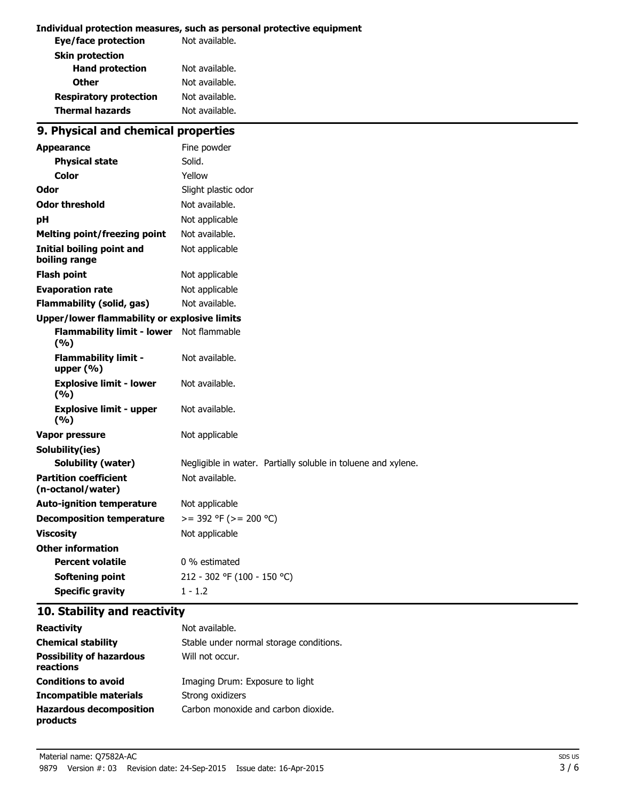#### **Individual protection measures, such as personal protective equipment**

| Not available. |
|----------------|
|                |
| Not available. |
| Not available. |
| Not available. |
| Not available. |
|                |

# **9. Physical and chemical properties**

| <b>Appearance</b>                                   | Fine powder                                                   |
|-----------------------------------------------------|---------------------------------------------------------------|
| <b>Physical state</b>                               | Solid.                                                        |
| Color                                               | Yellow                                                        |
| Odor                                                | Slight plastic odor                                           |
| <b>Odor threshold</b>                               | Not available.                                                |
| pH                                                  | Not applicable                                                |
| <b>Melting point/freezing point</b>                 | Not available.                                                |
| Initial boiling point and<br>boiling range          | Not applicable                                                |
| <b>Flash point</b>                                  | Not applicable                                                |
| <b>Evaporation rate</b>                             | Not applicable                                                |
| <b>Flammability (solid, gas)</b>                    | Not available.                                                |
| <b>Upper/lower flammability or explosive limits</b> |                                                               |
| <b>Flammability limit - lower</b><br>(%)            | Not flammable                                                 |
| <b>Flammability limit -</b><br>upper $(% )$         | Not available.                                                |
| <b>Explosive limit - lower</b><br>(9/6)             | Not available.                                                |
| <b>Explosive limit - upper</b><br>(9/6)             | Not available.                                                |
| Vapor pressure                                      | Not applicable                                                |
| Solubility(ies)                                     |                                                               |
| <b>Solubility (water)</b>                           | Negligible in water. Partially soluble in toluene and xylene. |
| <b>Partition coefficient</b><br>(n-octanol/water)   | Not available.                                                |
| <b>Auto-ignition temperature</b>                    | Not applicable                                                |
| <b>Decomposition temperature</b>                    | $>=$ 392 °F ( $>=$ 200 °C)                                    |
| <b>Viscosity</b>                                    | Not applicable                                                |
| <b>Other information</b>                            |                                                               |
| <b>Percent volatile</b>                             | 0 % estimated                                                 |
| <b>Softening point</b>                              | 212 - 302 °F (100 - 150 °C)                                   |
| <b>Specific gravity</b>                             | $1 - 1.2$                                                     |

## **10. Stability and reactivity**

| <b>Reactivity</b>                            | Not available.                          |
|----------------------------------------------|-----------------------------------------|
| <b>Chemical stability</b>                    | Stable under normal storage conditions. |
| <b>Possibility of hazardous</b><br>reactions | Will not occur.                         |
| <b>Conditions to avoid</b>                   | Imaging Drum: Exposure to light         |
| Incompatible materials                       | Strong oxidizers                        |
| <b>Hazardous decomposition</b><br>products   | Carbon monoxide and carbon dioxide.     |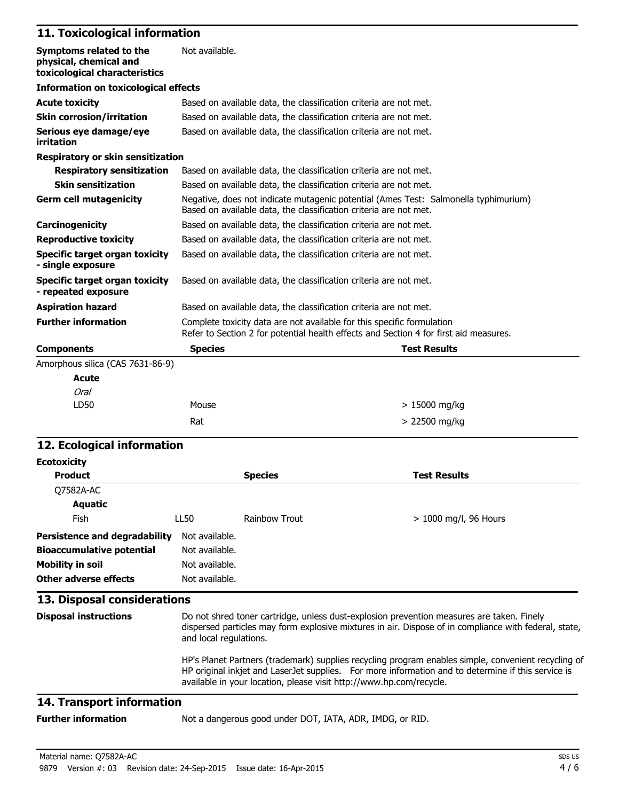# **11. Toxicological information**

| Symptoms related to the<br>physical, chemical and<br>toxicological characteristics | Not available.                                                                                                                                                  |                     |
|------------------------------------------------------------------------------------|-----------------------------------------------------------------------------------------------------------------------------------------------------------------|---------------------|
| <b>Information on toxicological effects</b>                                        |                                                                                                                                                                 |                     |
| <b>Acute toxicity</b>                                                              | Based on available data, the classification criteria are not met.                                                                                               |                     |
| <b>Skin corrosion/irritation</b>                                                   | Based on available data, the classification criteria are not met.                                                                                               |                     |
| Serious eye damage/eye<br>irritation                                               | Based on available data, the classification criteria are not met.                                                                                               |                     |
| <b>Respiratory or skin sensitization</b>                                           |                                                                                                                                                                 |                     |
| <b>Respiratory sensitization</b>                                                   | Based on available data, the classification criteria are not met.                                                                                               |                     |
| <b>Skin sensitization</b>                                                          | Based on available data, the classification criteria are not met.                                                                                               |                     |
| <b>Germ cell mutagenicity</b>                                                      | Negative, does not indicate mutagenic potential (Ames Test: Salmonella typhimurium)<br>Based on available data, the classification criteria are not met.        |                     |
| Carcinogenicity                                                                    | Based on available data, the classification criteria are not met.                                                                                               |                     |
| <b>Reproductive toxicity</b>                                                       | Based on available data, the classification criteria are not met.                                                                                               |                     |
| Specific target organ toxicity<br>- single exposure                                | Based on available data, the classification criteria are not met.                                                                                               |                     |
| Specific target organ toxicity<br>- repeated exposure                              | Based on available data, the classification criteria are not met.                                                                                               |                     |
| <b>Aspiration hazard</b>                                                           | Based on available data, the classification criteria are not met.                                                                                               |                     |
| <b>Further information</b>                                                         | Complete toxicity data are not available for this specific formulation<br>Refer to Section 2 for potential health effects and Section 4 for first aid measures. |                     |
| <b>Components</b>                                                                  | <b>Species</b>                                                                                                                                                  | <b>Test Results</b> |
| Amorphous silica (CAS 7631-86-9)                                                   |                                                                                                                                                                 |                     |
| <b>Acute</b>                                                                       |                                                                                                                                                                 |                     |
| <b>Oral</b>                                                                        |                                                                                                                                                                 |                     |
| LD50                                                                               | Mouse                                                                                                                                                           | $>15000$ mg/kg      |
|                                                                                    | Rat                                                                                                                                                             | > 22500 mg/kg       |

## **12. Ecological information**

| <b>Ecotoxicity</b>               |                                                                                                                                                                                                                                                                                  |                |                         |
|----------------------------------|----------------------------------------------------------------------------------------------------------------------------------------------------------------------------------------------------------------------------------------------------------------------------------|----------------|-------------------------|
| <b>Product</b>                   |                                                                                                                                                                                                                                                                                  | <b>Species</b> | <b>Test Results</b>     |
| Q7582A-AC                        |                                                                                                                                                                                                                                                                                  |                |                         |
| <b>Aquatic</b>                   |                                                                                                                                                                                                                                                                                  |                |                         |
| Fish                             | LL50                                                                                                                                                                                                                                                                             | Rainbow Trout  | $> 1000$ mg/l, 96 Hours |
| Persistence and degradability    | Not available.                                                                                                                                                                                                                                                                   |                |                         |
| <b>Bioaccumulative potential</b> | Not available.                                                                                                                                                                                                                                                                   |                |                         |
| <b>Mobility in soil</b>          | Not available.                                                                                                                                                                                                                                                                   |                |                         |
| Other adverse effects            | Not available.                                                                                                                                                                                                                                                                   |                |                         |
| 13. Disposal considerations      |                                                                                                                                                                                                                                                                                  |                |                         |
| <b>Disposal instructions</b>     | Do not shred toner cartridge, unless dust-explosion prevention measures are taken. Finely<br>dispersed particles may form explosive mixtures in air. Dispose of in compliance with federal, state,<br>and local regulations.                                                     |                |                         |
|                                  | HP's Planet Partners (trademark) supplies recycling program enables simple, convenient recycling of<br>HP original inkjet and LaserJet supplies. For more information and to determine if this service is<br>available in your location, please visit http://www.hp.com/recycle. |                |                         |

# **14. Transport information**

**Further information** Not a dangerous good under DOT, IATA, ADR, IMDG, or RID.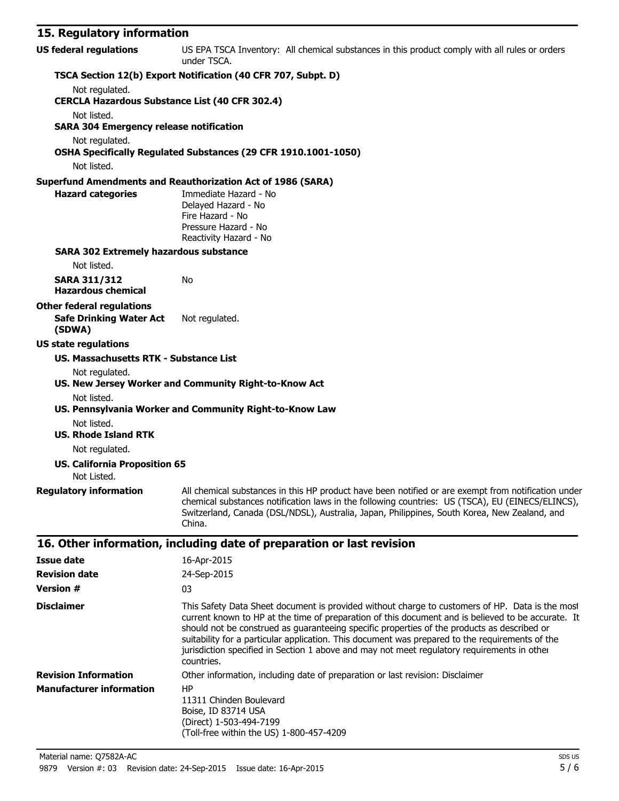## **15. Regulatory information**

| <b>US federal regulations</b>                                 | US EPA TSCA Inventory: All chemical substances in this product comply with all rules or orders<br>under TSCA.                                                                                                                                                                                                                            |
|---------------------------------------------------------------|------------------------------------------------------------------------------------------------------------------------------------------------------------------------------------------------------------------------------------------------------------------------------------------------------------------------------------------|
|                                                               | TSCA Section 12(b) Export Notification (40 CFR 707, Subpt. D)                                                                                                                                                                                                                                                                            |
| Not regulated.                                                |                                                                                                                                                                                                                                                                                                                                          |
| <b>CERCLA Hazardous Substance List (40 CFR 302.4)</b>         |                                                                                                                                                                                                                                                                                                                                          |
| Not listed.<br><b>SARA 304 Emergency release notification</b> |                                                                                                                                                                                                                                                                                                                                          |
| Not regulated.                                                |                                                                                                                                                                                                                                                                                                                                          |
|                                                               | OSHA Specifically Regulated Substances (29 CFR 1910.1001-1050)                                                                                                                                                                                                                                                                           |
| Not listed.                                                   |                                                                                                                                                                                                                                                                                                                                          |
|                                                               | <b>Superfund Amendments and Reauthorization Act of 1986 (SARA)</b>                                                                                                                                                                                                                                                                       |
| <b>Hazard categories</b>                                      | Immediate Hazard - No<br>Delayed Hazard - No<br>Fire Hazard - No<br>Pressure Hazard - No<br>Reactivity Hazard - No                                                                                                                                                                                                                       |
| <b>SARA 302 Extremely hazardous substance</b>                 |                                                                                                                                                                                                                                                                                                                                          |
| Not listed.                                                   |                                                                                                                                                                                                                                                                                                                                          |
| <b>SARA 311/312</b><br><b>Hazardous chemical</b>              | No                                                                                                                                                                                                                                                                                                                                       |
| <b>Other federal regulations</b>                              |                                                                                                                                                                                                                                                                                                                                          |
| <b>Safe Drinking Water Act</b><br>(SDWA)                      | Not regulated.                                                                                                                                                                                                                                                                                                                           |
| <b>US state regulations</b>                                   |                                                                                                                                                                                                                                                                                                                                          |
| US. Massachusetts RTK - Substance List                        |                                                                                                                                                                                                                                                                                                                                          |
| Not regulated.                                                | US. New Jersey Worker and Community Right-to-Know Act                                                                                                                                                                                                                                                                                    |
| Not listed.                                                   | US. Pennsylvania Worker and Community Right-to-Know Law                                                                                                                                                                                                                                                                                  |
| Not listed.                                                   |                                                                                                                                                                                                                                                                                                                                          |
| <b>US. Rhode Island RTK</b>                                   |                                                                                                                                                                                                                                                                                                                                          |
| Not regulated.                                                |                                                                                                                                                                                                                                                                                                                                          |
| <b>US. California Proposition 65</b>                          |                                                                                                                                                                                                                                                                                                                                          |
| Not Listed.                                                   |                                                                                                                                                                                                                                                                                                                                          |
|                                                               | Regulatory information All chemical substances in this HP product have been notified or are exempt from notification under<br>chemical substances notification laws in the following countries: US (TSCA), EU (EINECS/ELINCS),<br>Switzerland, Canada (DSL/NDSL), Australia, Japan, Philippines, South Korea, New Zealand, and<br>China. |
|                                                               | 16. Other information, including date of preparation or last revision                                                                                                                                                                                                                                                                    |
| <b>Issue date</b>                                             | 16-Apr-2015                                                                                                                                                                                                                                                                                                                              |
| <b>Devicion data</b>                                          | $74-5e^{-7015}$                                                                                                                                                                                                                                                                                                                          |

| 16. Other information, including date of preparation or last revision                                                                                                                                                                                                                                                                                                                                                                                                                                                |  |  |
|----------------------------------------------------------------------------------------------------------------------------------------------------------------------------------------------------------------------------------------------------------------------------------------------------------------------------------------------------------------------------------------------------------------------------------------------------------------------------------------------------------------------|--|--|
| 16-Apr-2015                                                                                                                                                                                                                                                                                                                                                                                                                                                                                                          |  |  |
| 24-Sep-2015                                                                                                                                                                                                                                                                                                                                                                                                                                                                                                          |  |  |
| 03                                                                                                                                                                                                                                                                                                                                                                                                                                                                                                                   |  |  |
| This Safety Data Sheet document is provided without charge to customers of HP. Data is the most<br>current known to HP at the time of preparation of this document and is believed to be accurate. It<br>should not be construed as quaranteeing specific properties of the products as described or<br>suitability for a particular application. This document was prepared to the requirements of the<br>jurisdiction specified in Section 1 above and may not meet regulatory requirements in other<br>countries. |  |  |
| Other information, including date of preparation or last revision: Disclaimer                                                                                                                                                                                                                                                                                                                                                                                                                                        |  |  |
| HP<br>11311 Chinden Boulevard<br>Boise, ID 83714 USA<br>(Direct) 1-503-494-7199<br>(Toll-free within the US) 1-800-457-4209                                                                                                                                                                                                                                                                                                                                                                                          |  |  |
|                                                                                                                                                                                                                                                                                                                                                                                                                                                                                                                      |  |  |